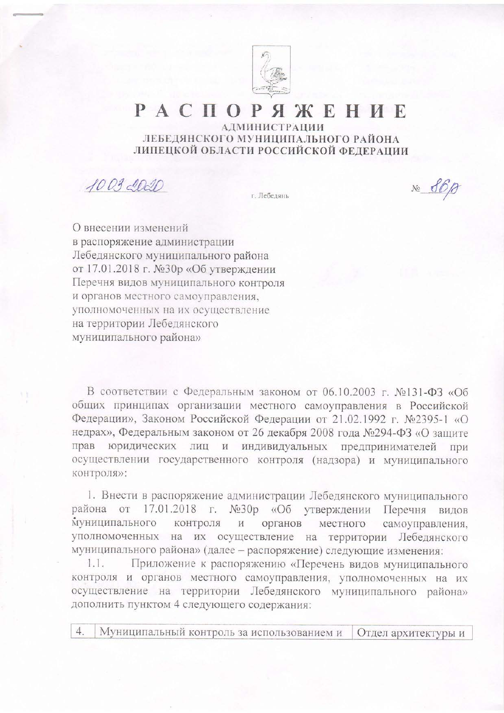

## PACIO ЖЕНИЕ **АДМИНИСТРАЦИИ** ЛЕБЕДЯНСКОГО МУНИЦИПАЛЬНОГО РАЙОНА

ЛИПЕЦКОЙ ОБЛАСТИ РОССИЙСКОЙ ФЕДЕРАЦИИ

 $100300$ 

г. Лебедянь

 $N_{2}$  86 $\beta$ 

О внесении изменений в распоряжение администрации Лебедянского муниципального района от 17.01.2018 г. №30р «Об утверждении Перечня видов муниципального контроля и органов местного самоуправления, уполномоченных на их осуществление на территории Лебедянского муниципального района»

В соответствии с Федеральным законом от 06.10.2003 г. №131-ФЗ «Об общих принципах организации местного самоуправления в Российской Федерации», Законом Российской Федерации от 21.02.1992 г. №2395-1 «О недрах», Федеральным законом от 26 декабря 2008 года №294-ФЗ «О защите прав юридических лиц и индивидуальных предпринимателей при осуществлении государственного контроля (надзора) и муниципального контроля»:

1. Внести в распоряжение администрации Лебедянского муниципального района от 17.01.2018 г. №30р «Об утверждении Перечня видов муниципального контроля  $\,$   $\,$   $\,$   $\,$ органов местного самоуправления, уполномоченных на их осуществление на территории Лебедянского муниципального района» (далее - распоряжение) следующие изменения:

Приложение к распоряжению «Перечень видов муниципального  $1.1.$ контроля и органов местного самоуправления, уполномоченных на их осуществление на территории Лебедянского муниципального района» дополнить пунктом 4 следующего содержания:

 $4.$ Муниципальный контроль за использованием и Отдел архитектуры и